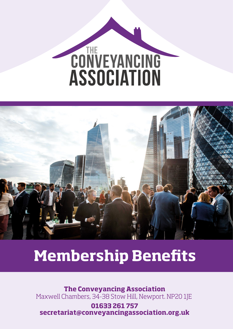# CONVEYANCING<br>ASSOCIATION



# **Membership Benets**

**The Conveyancing Association** Maxwell Chambers, 34-38 Stow Hill, Newport. NP20 1JE

**01633 261 757 secretariat@conveyancingassociation.org.uk**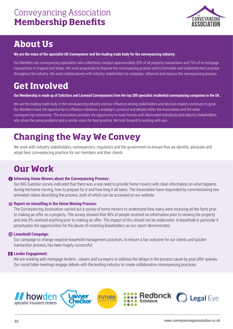

# **About Us**

**We are the voice of the specialist UK Conveyancer and the leading trade body for the conveyancing industry.** 

Our Members are conveyancing specialists who collectively conduct approximately 30% of all property transactions and 70% of re-mortgage transactions in England and Wales. We work proactively to improve the conveyancing process and to formulate and implement best practice throughout the industry. We work collaboratively with industry stakeholders to campaign, influence and improve the conveyancing process.

# **Get Involved**

**Our Membership is made up of Solicitors and Licensed Conveyancers from the top 200 specialist residential conveyancing companies in the UK.** 

We are the leading trade body in the conveyancing industry and our influence among stakeholders and decision makers continues to grow. Our Members have the opportunity to influence initiatives, campaigns, protocol and debate within the Association and the wider conveyancing community. The Association provides the opportunity to make friends with likeminded individuals and industry stakeholders, who share the same problems and a similar vision for best practice. We look forward to working with you.

# **Changing the Way We Convey**

We work with industry stakeholders, conveyancers, regulators and the government to ensure that we identify, advocate and adopt best conveyancing practice for our members and their clients.

# **Our Work**

### **10 Informing Home Movers about the Convevancing Process:**

Our BIG Question survey indicated that there was a real need to provide home movers with clear information on what happens during the home moving, how to prepare for it and how long it all takes. The Association have responded by commissioning two animated videos describing the process, both of which can be accessed on our website.

### **Report on misselling in the Home Moving Process:**

The Conveyancing Association carried out a survey of home movers to understand how many were receiving all the facts prior to making an offer on a property. The survey showed that 98% of people received no information prior to viewing the property and only 8% received anything prior to making an offer. The impact of this should not be underrated. In leasehold in particular it perpetuates the opportunities for the abuse of incoming leaseholders as our report demonstrates.

### **Leasehold Campaign:**

Our campaign to change negative leasehold management practices, to ensure a fair outcome for our clients and quicker transaction process, has been hugely successful.

### **Lender Engagement:**

We are working with mortgage lenders, valuers and surveyors to address the delays in the process cause by post offer queries. Our round table meetings engage debate with the lending industry to create collaborative conveyancing practices.

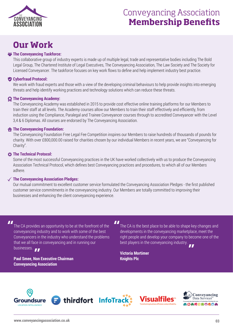

# Conveyancing Association **Membership Benefits**

# **Our Work**

### *<b>The Conveyancing Taskforce:*

This collaborative group of industry experts is made up of multiple legal, trade and representative bodies including The Bold Legal Group, The Chartered Institute of Legal Executives, The Conveyancing Association, The Law Society and The Society for Licensed Conveyancer. The taskforce focuses on key work flows to define and help implement industry best practice.

### **Cyberfraud Protocol:**

We work with fraud experts and those with a view of the developing criminal behaviours to help provide insights into emerging threats and help identify working practices and technology solutions which can reduce these threats.

### **The Conveyancing Academy:**

The Conveyancing Academy was established in 2015 to provide cost effective online training platforms for our Members to train their staff at all levels. The Academy courses allow our Members to train their staff effectively and efficiently, from induction using the Compliance, Paralegal and Trainee Conveyancer courses through to accredited Conveyancer with the Level 3,4 & 6 Diplomas. All courses are endorsed by The Conveyancing Association.

### **The Conveyancing Foundation:**

The Conveyancing Foundation Free Legal Fee Competition inspires our Members to raise hundreds of thousands of pounds for charity. With over £800,000.00 raised for charities chosen by our individual Members in recent years, we are "Conveyancing for Charity".

### **The Technical Protocol:**

Some of the most successful Conveyancing practices in the UK have worked collectively with us to produce the Conveyancing Association Technical Protocol, which defines best Conveyancing practices and procedures, to which all of our Members adhere.

### **The Conveyancing Association Pledges:**

Our mutual commitment to excellent customer service formulated the Conveyancing Association Pledges - the first published customer service commitments in the conveyancing industry. Our Members are totally committed to improving their businesses and enhancing the client conveyancing experience.

**II** 

The CA provides an opportunity to be at the forefront of the conveyancing industry and to work with some of the best Conveyancers in the industry who understand the problems that we all face in conveyancing and in running our businesses.

**Paul Smee, Non Executive Chairman Conveyancing Association**

The CA is the best place to be able to shape key changes and developments in the conveyancing marketplace, meet the right people and develop your company to become one of the best players in the conveyancing industry.

**Victoria Mortimer Knights Plc**

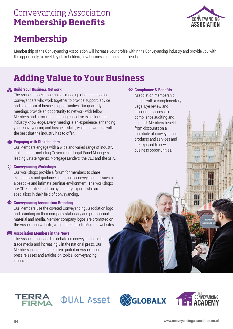# Conveyancing Association **Membership Benefits**



# **Membership**

Membership of the Conveyancing Association will increase your profile within the Conveyancing industry and provide you with the opportunity to meet key stakeholders, new business contacts and friends.

# **Adding Value to Your Business**

### **Build Your Business Network**

The Association Membership is made up of market leading Conveyancers who work together to provide support, advice and a plethora of business opportunities. Our quarterly meetings provide an opportunity to network with fellow Members and a forum for sharing collective expertise and industry knowledge. Every meeting is an experience, enhancing your conveyancing and business skills, whilst networking with the best that the industry has to offer.

### **Engaging with Stakeholders**

Our Members engage with a wide and varied range of industry stakeholders, including Government, Legal Panel Managers, leading Estate Agents, Mortgage Lenders, the CLC and the SRA.

### **Conveyancing Workshops**

Our workshops provide a forum for members to share experiences and guidance on complex conveyancing issues, in a bespoke and intimate seminar environment. The workshops are CPD certified and run by industry experts who are specialists in their field of conveyancing.

### **Conveyancing Association Branding**

Our Members use the coveted Conveyancing Association logo and branding on their company stationary and promotional material and media. Member company logos are promoted on the Association website, with a direct link to Member websites.

### **Association Members in the News**

The Association leads the debate on conveyancing in the trade media and increasingly in the national press. Our Members inspire and are often quoted in Association press releases and articles on topical conveyancing issues.

### **Compliance & Benefits**

Association membership comes with a complimentary Legal Eye review and discounted access to compliance auditing and support. Members benefit from discounts on a multitude of conveyancing products and services and are exposed to new business opportunities.



*OUAL Asset*